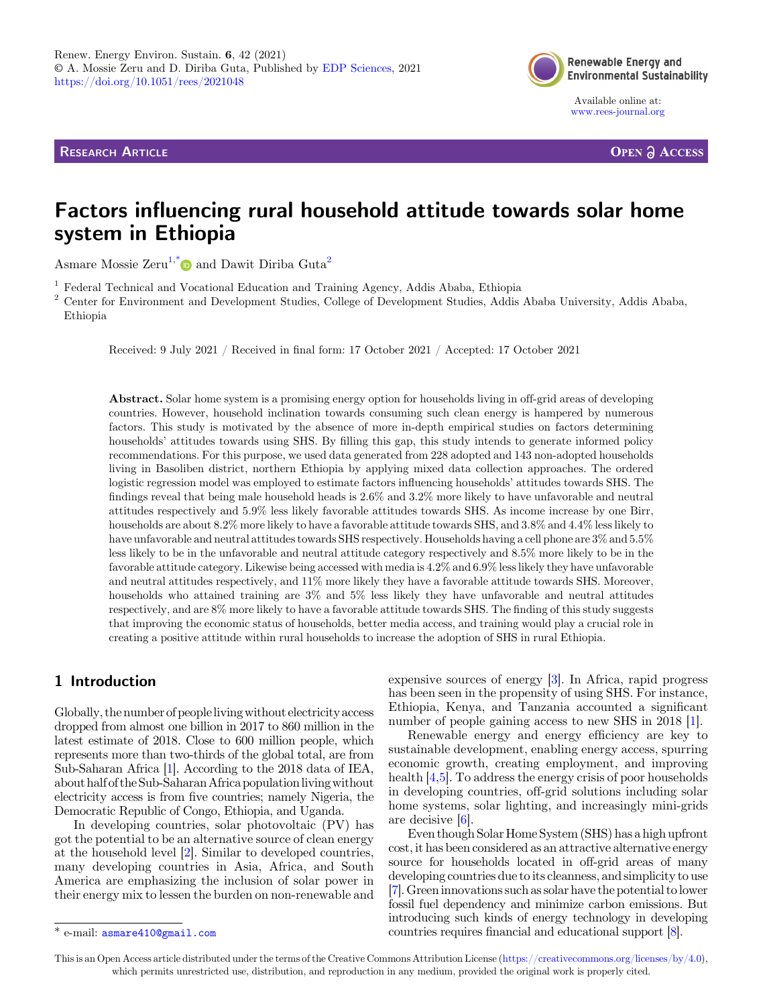**RESEARCH ARTICLE** 



Available online at: [www.rees-journal.org](https://www.rees-journal.org)

**OPEN A ACCESS** 

# Factors influencing rural household attitude towards solar home system in Ethiopia

Asmare Mossie Zeru<sup>1,\*</sup> and Dawit Diriba Guta<sup>2</sup>

 $^{\rm 1}$  Federal Technical and Vocational Education and Training Agency, Addis Ababa, Ethiopia  $^{\rm 2}$  Center for Environment and Development Studies, College of Development Studies, Addis Ababa University, Addis Ababa, Ethiopia

Received: 9 July 2021 / Received in final form: 17 October 2021 / Accepted: 17 October 2021

Abstract. Solar home system is a promising energy option for households living in off-grid areas of developing countries. However, household inclination towards consuming such clean energy is hampered by numerous factors. This study is motivated by the absence of more in-depth empirical studies on factors determining households' attitudes towards using SHS. By filling this gap, this study intends to generate informed policy recommendations. For this purpose, we used data generated from 228 adopted and 143 non-adopted households living in Basoliben district, northern Ethiopia by applying mixed data collection approaches. The ordered logistic regression model was employed to estimate factors influencing households' attitudes towards SHS. The findings reveal that being male household heads is 2.6% and 3.2% more likely to have unfavorable and neutral attitudes respectively and 5.9% less likely favorable attitudes towards SHS. As income increase by one Birr, households are about 8.2% more likely to have a favorable attitude towards SHS, and 3.8% and 4.4% less likely to have unfavorable and neutral attitudes towards SHS respectively. Households having a cell phone are 3% and 5.5% less likely to be in the unfavorable and neutral attitude category respectively and 8.5% more likely to be in the favorable attitude category. Likewise being accessed with media is 4.2% and 6.9% less likely they have unfavorable and neutral attitudes respectively, and 11% more likely they have a favorable attitude towards SHS. Moreover, households who attained training are 3% and 5% less likely they have unfavorable and neutral attitudes respectively, and are 8% more likely to have a favorable attitude towards SHS. The finding of this study suggests that improving the economic status of households, better media access, and training would play a crucial role in creating a positive attitude within rural households to increase the adoption of SHS in rural Ethiopia.

# 1 Introduction

Globally, the number of peoplelivingwithout electricity access dropped from almost one billion in 2017 to 860 million in the latest estimate of 2018. Close to 600 million people, which represents more than two-thirds of the global total, are from Sub-Saharan Africa [\[1\]](#page-11-0). According to the 2018 data of IEA, about half of the Sub-SaharanAfrica populationlivingwithout electricity access is from five countries; namely Nigeria, the Democratic Republic of Congo, Ethiopia, and Uganda.

In developing countries, solar photovoltaic (PV) has got the potential to be an alternative source of clean energy at the household level [[2\]](#page-11-0). Similar to developed countries, many developing countries in Asia, Africa, and South America are emphasizing the inclusion of solar power in their energy mix to lessen the burden on non-renewable and expensive sources of energy [\[3](#page-11-0)]. In Africa, rapid progress has been seen in the propensity of using SHS. For instance, Ethiopia, Kenya, and Tanzania accounted a significant number of people gaining access to new SHS in 2018 [[1\]](#page-11-0).

Renewable energy and energy efficiency are key to sustainable development, enabling energy access, spurring economic growth, creating employment, and improving health [\[4](#page-11-0),[5\]](#page-11-0). To address the energy crisis of poor households in developing countries, off-grid solutions including solar home systems, solar lighting, and increasingly mini-grids are decisive [\[6](#page-11-0)].

Even though Solar Home System (SHS) has a high upfront cost, it has been considered as an attractive alternative energy source for households located in off-grid areas of many developing countries due to its cleanness, and simplicity to use [\[7\]](#page-11-0). Green innovations such as solar have the potential to lower fossil fuel dependency and minimize carbon emissions. But introducing such kinds of energy technology in developing \* e-mail: [asmare410@gmail.com](mailto:asmare410@gmail.com) countries requires financial and educational support [\[8](#page-11-0)].

This is an Open Access article distributed under the terms of the Creative Commons Attribution License [\(https://creativecommons.org/licenses/by/4.0\)](https://creativecommons.org/licenses/by/4.0), which permits unrestricted use, distribution, and reproduction in any medium, provided the original work is properly cited.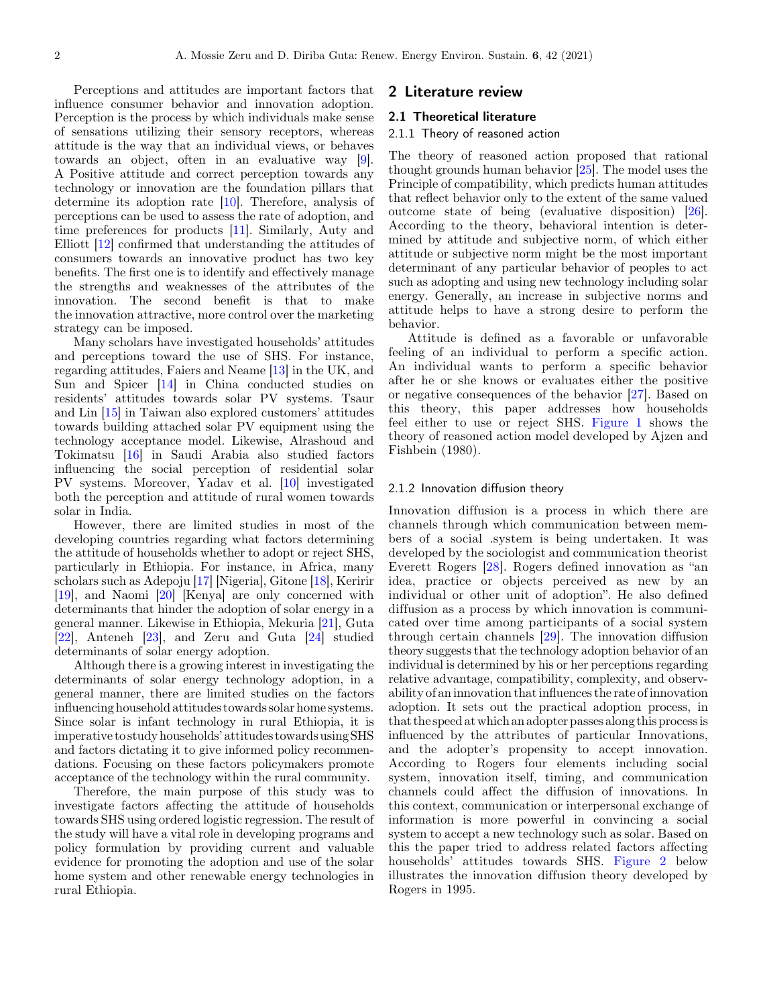Perceptions and attitudes are important factors that influence consumer behavior and innovation adoption. Perception is the process by which individuals make sense of sensations utilizing their sensory receptors, whereas attitude is the way that an individual views, or behaves towards an object, often in an evaluative way [\[9](#page-11-0)]. A Positive attitude and correct perception towards any technology or innovation are the foundation pillars that determine its adoption rate [[10\]](#page-11-0). Therefore, analysis of perceptions can be used to assess the rate of adoption, and time preferences for products [[11\]](#page-11-0). Similarly, Auty and Elliott [\[12](#page-11-0)] confirmed that understanding the attitudes of consumers towards an innovative product has two key benefits. The first one is to identify and effectively manage the strengths and weaknesses of the attributes of the innovation. The second benefit is that to make the innovation attractive, more control over the marketing strategy can be imposed.

Many scholars have investigated households' attitudes and perceptions toward the use of SHS. For instance, regarding attitudes, Faiers and Neame [[13\]](#page-11-0) in the UK, and Sun and Spicer [\[14](#page-11-0)] in China conducted studies on residents' attitudes towards solar PV systems. Tsaur and Lin [[15\]](#page-11-0) in Taiwan also explored customers' attitudes towards building attached solar PV equipment using the technology acceptance model. Likewise, Alrashoud and Tokimatsu [[16\]](#page-11-0) in Saudi Arabia also studied factors influencing the social perception of residential solar PV systems. Moreover, Yadav et al. [\[10](#page-11-0)] investigated both the perception and attitude of rural women towards solar in India.

However, there are limited studies in most of the developing countries regarding what factors determining the attitude of households whether to adopt or reject SHS, particularly in Ethiopia. For instance, in Africa, many scholars such as Adepoju [[17\]](#page-11-0) [Nigeria], Gitone [[18\]](#page-11-0), Keririr [\[19](#page-11-0)], and Naomi [\[20](#page-11-0)] [Kenya] are only concerned with determinants that hinder the adoption of solar energy in a general manner. Likewise in Ethiopia, Mekuria [\[21](#page-12-0)], Guta [\[22](#page-12-0)], Anteneh [\[23\]](#page-12-0), and Zeru and Guta [[24\]](#page-12-0) studied determinants of solar energy adoption.

Although there is a growing interest in investigating the determinants of solar energy technology adoption, in a general manner, there are limited studies on the factors influencing household attitudes towards solar home systems. Since solar is infant technology in rural Ethiopia, it is imperative to study households' attitudes towards using SHS and factors dictating it to give informed policy recommendations. Focusing on these factors policymakers promote acceptance of the technology within the rural community.

Therefore, the main purpose of this study was to investigate factors affecting the attitude of households towards SHS using ordered logistic regression. The result of the study will have a vital role in developing programs and policy formulation by providing current and valuable evidence for promoting the adoption and use of the solar home system and other renewable energy technologies in rural Ethiopia.

# 2 Literature review

#### 2.1 Theoretical literature

## 2.1.1 Theory of reasoned action

The theory of reasoned action proposed that rational thought grounds human behavior [\[25](#page-12-0)]. The model uses the Principle of compatibility, which predicts human attitudes that reflect behavior only to the extent of the same valued outcome state of being (evaluative disposition) [\[26](#page-12-0)]. According to the theory, behavioral intention is determined by attitude and subjective norm, of which either attitude or subjective norm might be the most important determinant of any particular behavior of peoples to act such as adopting and using new technology including solar energy. Generally, an increase in subjective norms and attitude helps to have a strong desire to perform the behavior.

Attitude is defined as a favorable or unfavorable feeling of an individual to perform a specific action. An individual wants to perform a specific behavior after he or she knows or evaluates either the positive or negative consequences of the behavior [[27\]](#page-12-0). Based on this theory, this paper addresses how households feel either to use or reject SHS. [Figure 1](#page-2-0) shows the theory of reasoned action model developed by Ajzen and Fishbein (1980).

#### 2.1.2 Innovation diffusion theory

Innovation diffusion is a process in which there are channels through which communication between members of a social .system is being undertaken. It was developed by the sociologist and communication theorist Everett Rogers [[28](#page-12-0)]. Rogers defined innovation as "an idea, practice or objects perceived as new by an individual or other unit of adoption". He also defined diffusion as a process by which innovation is communicated over time among participants of a social system through certain channels [\[29\]](#page-12-0). The innovation diffusion theory suggests that the technology adoption behavior of an individual is determined by his or her perceptions regarding relative advantage, compatibility, complexity, and observability of an innovation that influences the rate of innovation adoption. It sets out the practical adoption process, in that the speed at which an adopter passes along this processis influenced by the attributes of particular Innovations, and the adopter's propensity to accept innovation. According to Rogers four elements including social system, innovation itself, timing, and communication channels could affect the diffusion of innovations. In this context, communication or interpersonal exchange of information is more powerful in convincing a social system to accept a new technology such as solar. Based on this the paper tried to address related factors affecting households' attitudes towards SHS. [Figure 2](#page-2-0) below illustrates the innovation diffusion theory developed by Rogers in 1995.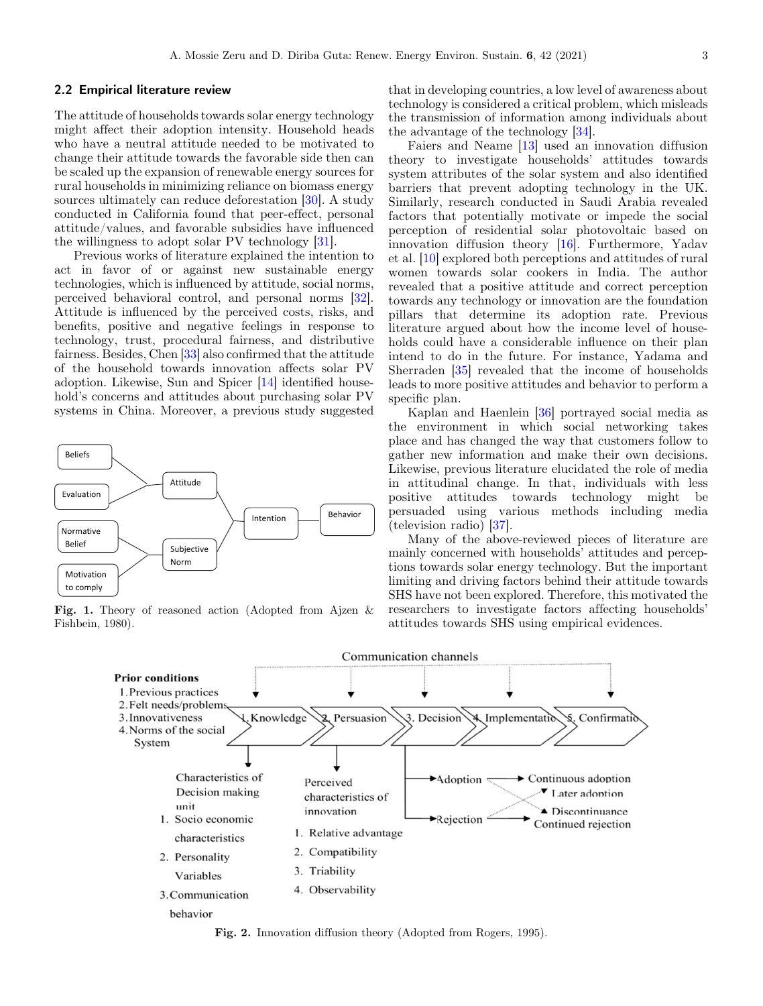#### <span id="page-2-0"></span>2.2 Empirical literature review

The attitude of households towards solar energy technology might affect their adoption intensity. Household heads who have a neutral attitude needed to be motivated to change their attitude towards the favorable side then can be scaled up the expansion of renewable energy sources for rural households in minimizing reliance on biomass energy sources ultimately can reduce deforestation [\[30](#page-12-0)]. A study conducted in California found that peer-effect, personal attitude/values, and favorable subsidies have influenced the willingness to adopt solar PV technology [[31\]](#page-12-0).

Previous works of literature explained the intention to act in favor of or against new sustainable energy technologies, which is influenced by attitude, social norms, perceived behavioral control, and personal norms [\[32](#page-12-0)]. Attitude is influenced by the perceived costs, risks, and benefits, positive and negative feelings in response to technology, trust, procedural fairness, and distributive fairness. Besides, Chen [[33\]](#page-12-0) also confirmed that the attitude of the household towards innovation affects solar PV adoption. Likewise, Sun and Spicer [[14\]](#page-11-0) identified household's concerns and attitudes about purchasing solar PV systems in China. Moreover, a previous study suggested



Fig. 1. Theory of reasoned action (Adopted from Ajzen & Fishbein, 1980).

that in developing countries, a low level of awareness about technology is considered a critical problem, which misleads the transmission of information among individuals about the advantage of the technology [[34\]](#page-12-0).

Faiers and Neame [\[13](#page-11-0)] used an innovation diffusion theory to investigate households' attitudes towards system attributes of the solar system and also identified barriers that prevent adopting technology in the UK. Similarly, research conducted in Saudi Arabia revealed factors that potentially motivate or impede the social perception of residential solar photovoltaic based on innovation diffusion theory [\[16\]](#page-11-0). Furthermore, Yadav et al. [\[10](#page-11-0)] explored both perceptions and attitudes of rural women towards solar cookers in India. The author revealed that a positive attitude and correct perception towards any technology or innovation are the foundation pillars that determine its adoption rate. Previous literature argued about how the income level of households could have a considerable influence on their plan intend to do in the future. For instance, Yadama and Sherraden [\[35](#page-12-0)] revealed that the income of households leads to more positive attitudes and behavior to perform a specific plan.

Kaplan and Haenlein [\[36](#page-12-0)] portrayed social media as the environment in which social networking takes place and has changed the way that customers follow to gather new information and make their own decisions. Likewise, previous literature elucidated the role of media in attitudinal change. In that, individuals with less positive attitudes towards technology might be persuaded using various methods including media (television radio) [[37\]](#page-12-0).

Many of the above-reviewed pieces of literature are mainly concerned with households' attitudes and perceptions towards solar energy technology. But the important limiting and driving factors behind their attitude towards SHS have not been explored. Therefore, this motivated the researchers to investigate factors affecting households' attitudes towards SHS using empirical evidences.



Fig. 2. Innovation diffusion theory (Adopted from Rogers, 1995).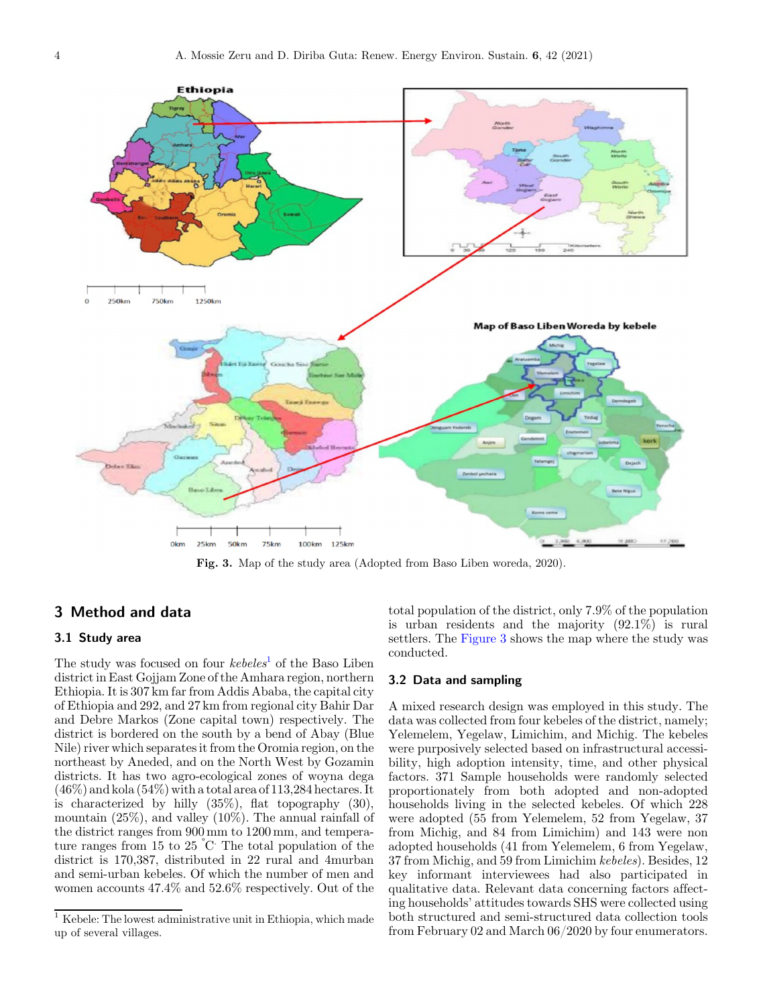

Fig. 3. Map of the study area (Adopted from Baso Liben woreda, 2020).

# 3 Method and data

## 3.1 Study area

The study was focused on four  $kebeles<sup>1</sup>$  of the Baso Liben district in East Gojjam Zone of the Amhara region, northern Ethiopia. It is 307 km far from Addis Ababa, the capital city of Ethiopia and 292, and 27 km from regional city Bahir Dar and Debre Markos (Zone capital town) respectively. The district is bordered on the south by a bend of Abay (Blue Nile) river which separates it from the Oromia region, on the northeast by Aneded, and on the North West by Gozamin districts. It has two agro-ecological zones of woyna dega  $(46\%)$  and kola  $(54\%)$  with a total area of 113,284 hectares. It is characterized by hilly  $(35\%)$ , flat topography  $(30)$ , mountain (25%), and valley (10%). The annual rainfall of the district ranges from 900 mm to 1200 mm, and temperature ranges from 15 to 25 ° C. The total population of the district is 170,387, distributed in 22 rural and 4murban and semi-urban kebeles. Of which the number of men and women accounts 47.4% and 52.6% respectively. Out of the

total population of the district, only 7.9% of the population is urban residents and the majority (92.1%) is rural settlers. The Figure 3 shows the map where the study was conducted.

#### 3.2 Data and sampling

A mixed research design was employed in this study. The data was collected from four kebeles of the district, namely; Yelemelem, Yegelaw, Limichim, and Michig. The kebeles were purposively selected based on infrastructural accessibility, high adoption intensity, time, and other physical factors. 371 Sample households were randomly selected proportionately from both adopted and non-adopted households living in the selected kebeles. Of which 228 were adopted (55 from Yelemelem, 52 from Yegelaw, 37 from Michig, and 84 from Limichim) and 143 were non adopted households (41 from Yelemelem, 6 from Yegelaw, 37 from Michig, and 59 from Limichim kebeles). Besides, 12 key informant interviewees had also participated in qualitative data. Relevant data concerning factors affecting households' attitudes towards SHS were collected using both structured and semi-structured data collection tools from February 02 and March 06/2020 by four enumerators.

 $^{\rm 1}$  Kebele: The lowest administrative unit in Ethiopia, which made up of several villages.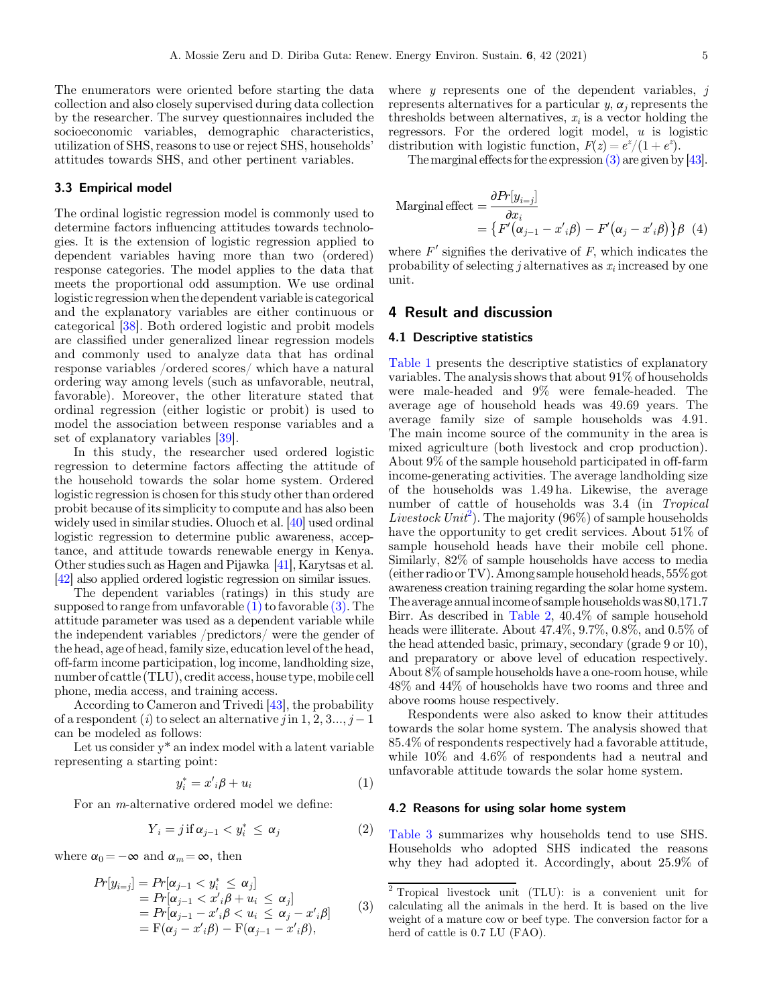The enumerators were oriented before starting the data collection and also closely supervised during data collection by the researcher. The survey questionnaires included the socioeconomic variables, demographic characteristics, utilization of SHS, reasons to use or reject SHS, households' attitudes towards SHS, and other pertinent variables.

#### 3.3 Empirical model

The ordinal logistic regression model is commonly used to determine factors influencing attitudes towards technologies. It is the extension of logistic regression applied to dependent variables having more than two (ordered) response categories. The model applies to the data that meets the proportional odd assumption. We use ordinal logistic regression when the dependent variable is categorical and the explanatory variables are either continuous or categorical [[38](#page-12-0)]. Both ordered logistic and probit models are classified under generalized linear regression models and commonly used to analyze data that has ordinal response variables /ordered scores/ which have a natural ordering way among levels (such as unfavorable, neutral, favorable). Moreover, the other literature stated that ordinal regression (either logistic or probit) is used to model the association between response variables and a set of explanatory variables [[39](#page-12-0)].

In this study, the researcher used ordered logistic regression to determine factors affecting the attitude of the household towards the solar home system. Ordered logistic regression is chosen for this study other than ordered probit because of its simplicity to compute and has also been widely used in similar studies. Oluoch et al. [\[40](#page-12-0)] used ordinal logistic regression to determine public awareness, acceptance, and attitude towards renewable energy in Kenya. Other studies such as Hagen and Pijawka [\[41\]](#page-12-0), Karytsas et al. [\[42\]](#page-12-0) also applied ordered logistic regression on similar issues.

The dependent variables (ratings) in this study are supposed to range from unfavorable  $(1)$  to favorable  $(3)$ . The attitude parameter was used as a dependent variable while the independent variables /predictors/ were the gender of the head, age of head, family size, education level of the head, off-farm income participation, log income, landholding size, number of cattle (TLU), credit access, house type,mobile cell phone, media access, and training access.

According to Cameron and Trivedi [[43\]](#page-12-0), the probability of a respondent (i) to select an alternative j in  $1, 2, 3..., j-1$ can be modeled as follows:

Let us consider  $y^*$  an index model with a latent variable representing a starting point:

$$
y_i^* = x_i' \beta + u_i \tag{1}
$$

For an m-alternative ordered model we define:

$$
Y_i = j \text{ if } \alpha_{j-1} < y_i^* \leq \alpha_j \tag{2}
$$

where  $\alpha_0 = -\infty$  and  $\alpha_m = \infty$ , then

$$
Pr[y_{i=j}] = Pr[\alpha_{j-1} < y_i^* \leq \alpha_j] = Pr[\alpha_{j-1} < x_i'\beta + u_i \leq \alpha_j] = Pr[\alpha_{j-1} - x_i'\beta < u_i \leq \alpha_j - x_i'\beta] = F(\alpha_j - x_i'\beta) - F(\alpha_{j-1} - x_i'\beta),
$$
\n(3)

where  $y$  represents one of the dependent variables,  $j$ represents alternatives for a particular  $y, \alpha_i$  represents the thresholds between alternatives,  $x_i$  is a vector holding the regressors. For the ordered logit model,  $u$  is logistic distribution with logistic function,  $F(z) = e^{z}/(1 + e^{z}).$ 

The marginal effects for the expression (3) are given by [\[43](#page-12-0)].

Marginal effect 
$$
= \frac{\partial P_{\cdot}[y_{i=j}]}{\partial x_i}
$$

$$
= \{ F'(\alpha_{j-1} - x'_{i}\beta) - F'(\alpha_{j} - x'_{i}\beta) \} \beta \quad (4)
$$

where  $F'$  signifies the derivative of  $F$ , which indicates the probability of selecting j alternatives as  $x_i$  increased by one unit.

# 4 Result and discussion

#### 4.1 Descriptive statistics

[Table 1](#page-5-0) presents the descriptive statistics of explanatory variables. The analysis shows that about 91% of households were male-headed and 9% were female-headed. The average age of household heads was 49.69 years. The average family size of sample households was 4.91. The main income source of the community in the area is mixed agriculture (both livestock and crop production). About 9% of the sample household participated in off-farm income-generating activities. The average landholding size of the households was 1.49 ha. Likewise, the average number of cattle of households was 3.4 (in Tropical Livestock Unit<sup>2</sup>). The majority (96%) of sample households have the opportunity to get credit services. About 51% of sample household heads have their mobile cell phone. Similarly, 82% of sample households have access to media (either radio or TV). Among sample household heads,  $55\%$  got awareness creation training regarding the solar home system. The average annualincome of sample households was 80,171.7 Birr. As described in [Table 2](#page-5-0), 40.4% of sample household heads were illiterate. About 47.4%, 9.7%, 0.8%, and 0.5% of the head attended basic, primary, secondary (grade 9 or 10), and preparatory or above level of education respectively. About 8% of sample households have a one-room house, while 48% and 44% of households have two rooms and three and above rooms house respectively.

Respondents were also asked to know their attitudes towards the solar home system. The analysis showed that 85.4% of respondents respectively had a favorable attitude, while 10% and 4.6% of respondents had a neutral and unfavorable attitude towards the solar home system.

## 4.2 Reasons for using solar home system

[Table 3](#page-6-0) summarizes why households tend to use SHS. Households who adopted SHS indicated the reasons why they had adopted it. Accordingly, about 25.9% of

<sup>2</sup> Tropical livestock unit (TLU): is a convenient unit for calculating all the animals in the herd. It is based on the live weight of a mature cow or beef type. The conversion factor for a herd of cattle is 0.7 LU (FAO).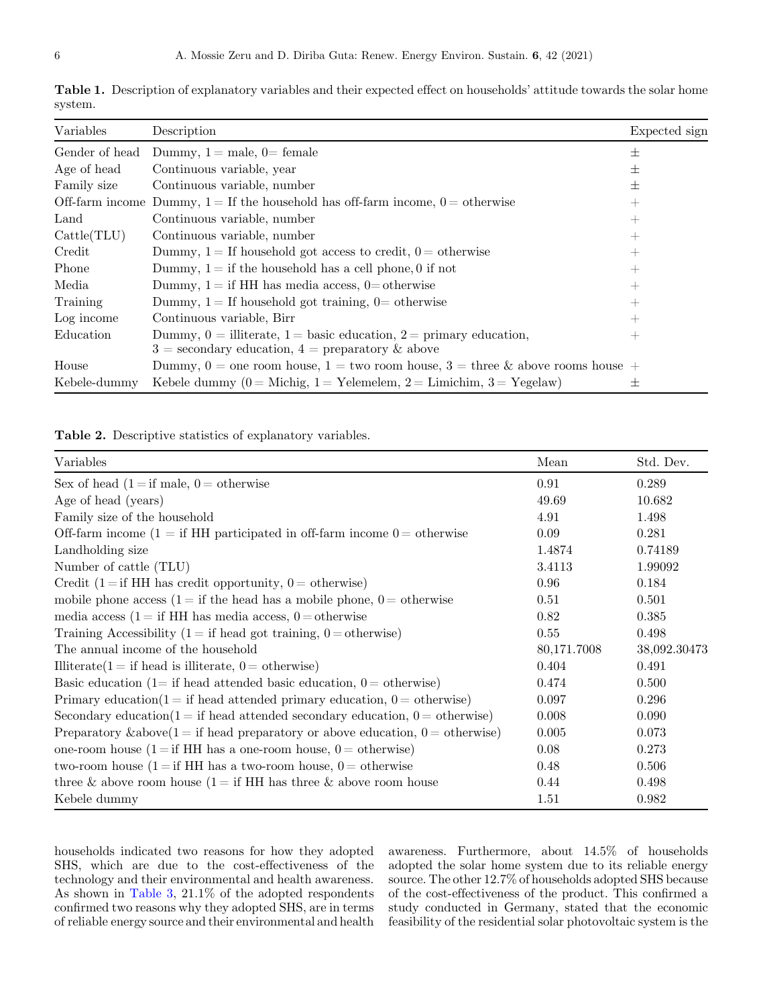| Variables       | Description                                                                                                                      | Expected sign      |
|-----------------|----------------------------------------------------------------------------------------------------------------------------------|--------------------|
| Gender of head  | Dummy, $1 =$ male, $0 =$ female                                                                                                  | 士                  |
| Age of head     | Continuous variable, year                                                                                                        | 士                  |
| Family size     | Continuous variable, number                                                                                                      | 士                  |
| Off-farm income | Dummy, $1 =$ If the household has off-farm income, $0 =$ otherwise                                                               | $+$                |
| Land            | Continuous variable, number                                                                                                      | $+$                |
| Cattle(TLU)     | Continuous variable, number                                                                                                      | $^{+}$             |
| Credit          | Dummy, $1 =$ If household got access to credit, $0 =$ otherwise                                                                  | $^{+}$             |
| Phone           | Dummy, $1 =$ if the household has a cell phone, 0 if not                                                                         | $^{+}$             |
| Media           | Dummy, $1 =$ if HH has media access, $0 =$ otherwise                                                                             | $+$                |
| Training        | Dummy, $1 =$ If household got training, $0 =$ otherwise                                                                          | $^{+}$             |
| Log income      | Continuous variable, Birr                                                                                                        | $^{+}$             |
| Education       | Dummy, $0 =$ illiterate, $1 =$ basic education, $2 =$ primary education,<br>$3 =$ secondary education, $4 =$ preparatory & above | $\hspace{0.1mm} +$ |
| House           | Dummy, $0 =$ one room house, $1 =$ two room house, $3 =$ three & above rooms house $+$                                           |                    |
| Kebele-dummy    | Kebele dummy (0 = Michig, 1 = Yelemelem, 2 = Limichim, 3 = Yegelaw)                                                              | 士                  |

<span id="page-5-0"></span>Table 1. Description of explanatory variables and their expected effect on households' attitude towards the solar home system.

Table 2. Descriptive statistics of explanatory variables.

| Variables                                                                           | Mean        | Std. Dev.    |
|-------------------------------------------------------------------------------------|-------------|--------------|
| Sex of head $(1 = if male, 0 = otherwise)$                                          | 0.91        | 0.289        |
| Age of head (years)                                                                 | 49.69       | 10.682       |
| Family size of the household                                                        | 4.91        | 1.498        |
| Off-farm income $(1 = if HH$ participated in off-farm income $0 =$ otherwise        | 0.09        | 0.281        |
| Landholding size                                                                    | 1.4874      | 0.74189      |
| Number of cattle (TLU)                                                              | 3.4113      | 1.99092      |
| Credit (1 = if HH has credit opportunity, $0 =$ otherwise)                          | 0.96        | 0.184        |
| mobile phone access $(1 = if the head has a mobile phone, 0 = otherwise)$           | 0.51        | 0.501        |
| media access (1 = if HH has media access, 0 = otherwise                             | 0.82        | 0.385        |
| Training Accessibility (1 = if head got training, $0 = \text{otherwise}$ )          | $0.55\,$    | 0.498        |
| The annual income of the household                                                  | 80,171.7008 | 38,092.30473 |
| Illiterate(1 = if head is illiterate, 0 = otherwise)                                | 0.404       | 0.491        |
| Basic education (1= if head attended basic education, $0 =$ otherwise)              | 0.474       | 0.500        |
| Primary education( $1 =$ if head attended primary education, $0 =$ otherwise)       | 0.097       | 0.296        |
| Secondary education $(1 = if head attended secondary education, 0 = otherwise)$     | 0.008       | 0.090        |
| Preparatory & above $(1 = if$ head preparatory or above education, $0 =$ otherwise) | 0.005       | 0.073        |
| one-room house $(1 = if HH)$ has a one-room house, $0 = otherwise$                  | 0.08        | 0.273        |
| two-room house $(1 = if HH$ has a two-room house, $0 =$ otherwise                   | 0.48        | 0.506        |
| three & above room house $(1 = if HH)$ has three & above room house                 | 0.44        | 0.498        |
| Kebele dummy                                                                        | 1.51        | 0.982        |

households indicated two reasons for how they adopted SHS, which are due to the cost-effectiveness of the technology and their environmental and health awareness. As shown in [Table 3](#page-6-0), 21.1% of the adopted respondents confirmed two reasons why they adopted SHS, are in terms of reliable energy source and their environmental and health awareness. Furthermore, about 14.5% of households adopted the solar home system due to its reliable energy source. The other 12.7% of households adopted SHS because of the cost-effectiveness of the product. This confirmed a study conducted in Germany, stated that the economic feasibility of the residential solar photovoltaic system is the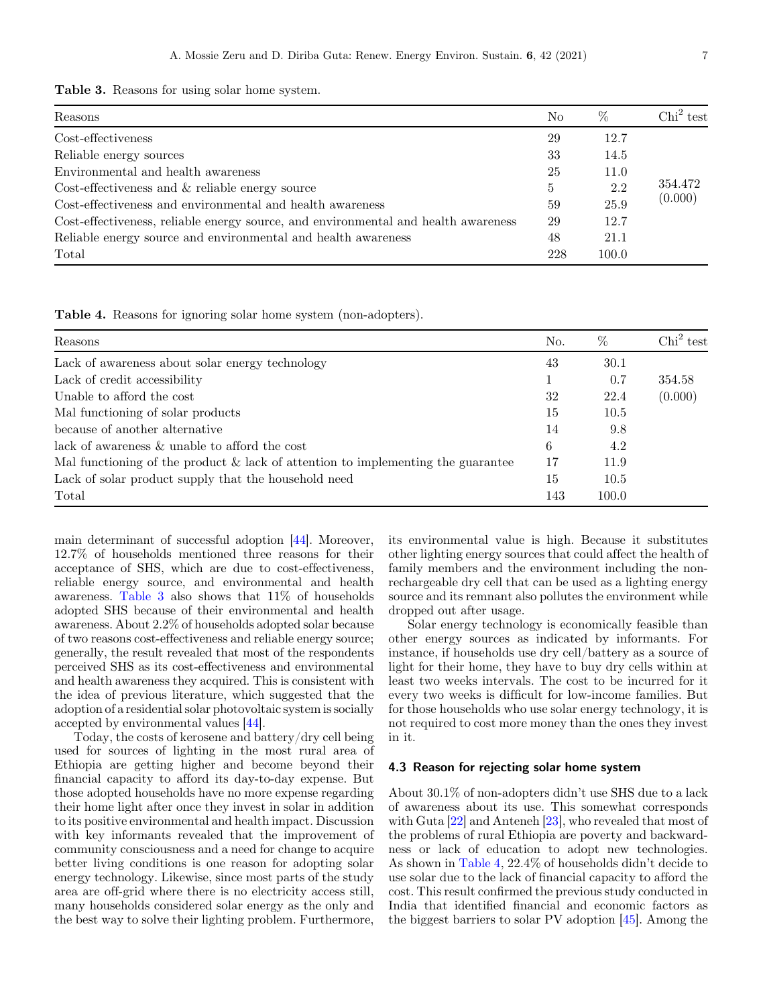<span id="page-6-0"></span>Table 3. Reasons for using solar home system.

| Reasons                                                                            | N <sub>o</sub> | $\%$  | $\text{Chi}^2$ test |
|------------------------------------------------------------------------------------|----------------|-------|---------------------|
| Cost-effectiveness                                                                 | 29             | 12.7  |                     |
| Reliable energy sources                                                            | 33             | 14.5  |                     |
| Environmental and health awareness                                                 | 25             | 11.0  |                     |
| Cost-effectiveness and $\&$ reliable energy source                                 | 5              | 2.2   | 354.472             |
| Cost-effectiveness and environmental and health awareness                          | 59             | 25.9  | (0.000)             |
| Cost-effectiveness, reliable energy source, and environmental and health awareness | 29             | 12.7  |                     |
| Reliable energy source and environmental and health awareness                      | 48             | 21.1  |                     |
| Total                                                                              | 228            | 100.0 |                     |

Table 4. Reasons for ignoring solar home system (non-adopters).

| Reasons                                                                             | No. | %     | Chi <sup>2</sup> test |
|-------------------------------------------------------------------------------------|-----|-------|-----------------------|
| Lack of awareness about solar energy technology                                     | 43  | 30.1  |                       |
| Lack of credit accessibility                                                        |     | 0.7   | 354.58                |
| Unable to afford the cost                                                           | 32  | 22.4  | (0.000)               |
| Mal functioning of solar products                                                   | 15  | 10.5  |                       |
| because of another alternative                                                      | 14  | 9.8   |                       |
| lack of awareness & unable to afford the cost                                       | 6   | 4.2   |                       |
| Mal functioning of the product $\&$ lack of attention to implementing the guarantee | 17  | 11.9  |                       |
| Lack of solar product supply that the household need                                | 15  | 10.5  |                       |
| Total                                                                               | 143 | 100.0 |                       |

main determinant of successful adoption [[44\]](#page-12-0). Moreover, 12.7% of households mentioned three reasons for their acceptance of SHS, which are due to cost-effectiveness, reliable energy source, and environmental and health awareness. Table 3 also shows that 11% of households adopted SHS because of their environmental and health awareness. About 2.2% of households adopted solar because of two reasons cost-effectiveness and reliable energy source; generally, the result revealed that most of the respondents perceived SHS as its cost-effectiveness and environmental and health awareness they acquired. This is consistent with the idea of previous literature, which suggested that the adoption of a residential solar photovoltaic system is socially accepted by environmental values [\[44\]](#page-12-0).

Today, the costs of kerosene and battery/dry cell being used for sources of lighting in the most rural area of Ethiopia are getting higher and become beyond their financial capacity to afford its day-to-day expense. But those adopted households have no more expense regarding their home light after once they invest in solar in addition to its positive environmental and health impact. Discussion with key informants revealed that the improvement of community consciousness and a need for change to acquire better living conditions is one reason for adopting solar energy technology. Likewise, since most parts of the study area are off-grid where there is no electricity access still, many households considered solar energy as the only and the best way to solve their lighting problem. Furthermore,

its environmental value is high. Because it substitutes other lighting energy sources that could affect the health of family members and the environment including the nonrechargeable dry cell that can be used as a lighting energy source and its remnant also pollutes the environment while dropped out after usage.

Solar energy technology is economically feasible than other energy sources as indicated by informants. For instance, if households use dry cell/battery as a source of light for their home, they have to buy dry cells within at least two weeks intervals. The cost to be incurred for it every two weeks is difficult for low-income families. But for those households who use solar energy technology, it is not required to cost more money than the ones they invest in it.

#### 4.3 Reason for rejecting solar home system

About 30.1% of non-adopters didn't use SHS due to a lack of awareness about its use. This somewhat corresponds with Guta [[22\]](#page-12-0) and Anteneh [\[23](#page-12-0)], who revealed that most of the problems of rural Ethiopia are poverty and backwardness or lack of education to adopt new technologies. As shown in Table 4, 22.4% of households didn't decide to use solar due to the lack of financial capacity to afford the cost. This result confirmed the previous study conducted in India that identified financial and economic factors as the biggest barriers to solar PV adoption [\[45](#page-12-0)]. Among the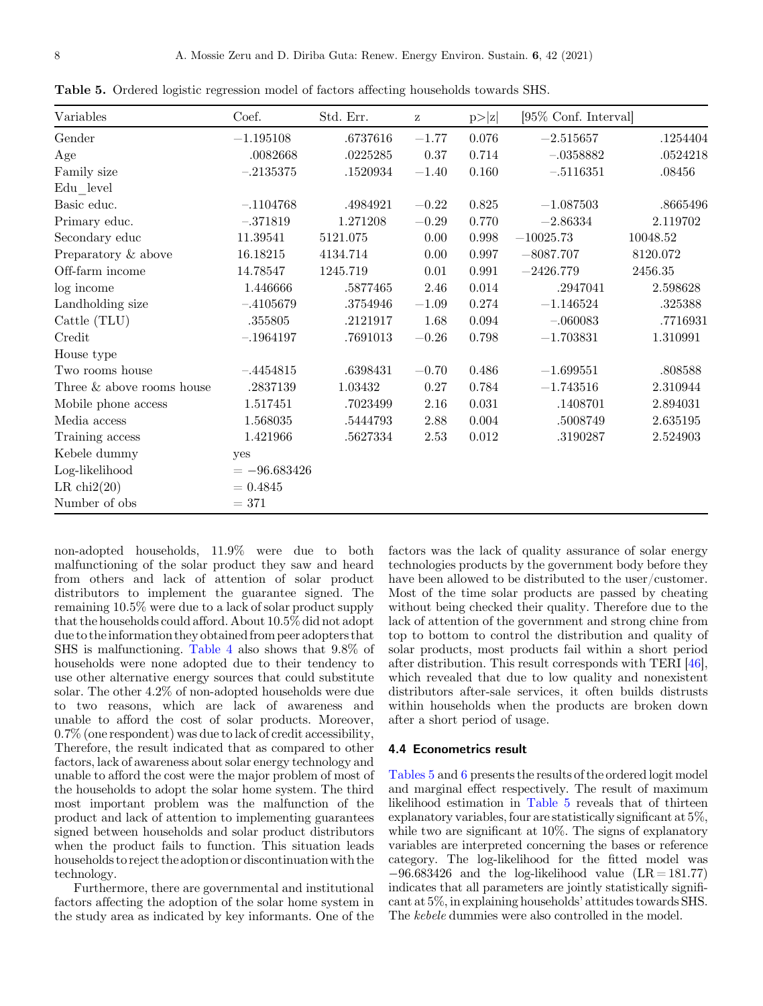| Variables                    | Coef.         | Std. Err. | $\rm{Z}$  | p >  z    | [95\% Conf. Interval] |          |
|------------------------------|---------------|-----------|-----------|-----------|-----------------------|----------|
| Gender                       | $-1.195108$   | .6737616  | $-1.77$   | 0.076     | $-2.515657$           | .1254404 |
| Age                          | .0082668      | .0225285  | 0.37      | 0.714     | $-.0358882$           | .0524218 |
| Family size                  | $-.2135375$   | .1520934  | $-1.40$   | 0.160     | $-.5116351$           | .08456   |
| Edu level                    |               |           |           |           |                       |          |
| Basic educ.                  | $-.1104768$   | .4984921  | $-0.22$   | 0.825     | $-1.087503$           | .8665496 |
| Primary educ.                | $-.371819$    | 1.271208  | $-0.29\,$ | 0.770     | $-2.86334$            | 2.119702 |
| Secondary educ               | 11.39541      | 5121.075  | 0.00      | 0.998     | $-10025.73$           | 10048.52 |
| Preparatory & above          | 16.18215      | 4134.714  | 0.00      | $0.997\,$ | $-8087.707$           | 8120.072 |
| Off-farm income              | 14.78547      | 1245.719  | 0.01      | 0.991     | $-2426.779$           | 2456.35  |
| log income                   | 1.446666      | .5877465  | 2.46      | $0.014\,$ | .2947041              | 2.598628 |
| Landholding size             | $-.4105679$   | .3754946  | $-1.09$   | 0.274     | $-1.146524$           | .325388  |
| Cattle (TLU)                 | .355805       | .2121917  | 1.68      | 0.094     | $-.060083$            | .7716931 |
| Credit                       | $-.1964197$   | .7691013  | $-0.26$   | 0.798     | $-1.703831$           | 1.310991 |
| House type                   |               |           |           |           |                       |          |
| Two rooms house              | $-.4454815$   | .6398431  | $-0.70$   | 0.486     | $-1.699551$           | .808588  |
| Three $\&$ above rooms house | .2837139      | 1.03432   | 0.27      | 0.784     | $-1.743516$           | 2.310944 |
| Mobile phone access          | 1.517451      | .7023499  | 2.16      | 0.031     | .1408701              | 2.894031 |
| Media access                 | 1.568035      | .5444793  | 2.88      | 0.004     | .5008749              | 2.635195 |
| Training access              | 1.421966      | .5627334  | 2.53      | 0.012     | .3190287              | 2.524903 |
| Kebele dummy                 | yes           |           |           |           |                       |          |
| Log-likelihood               | $=-96.683426$ |           |           |           |                       |          |
| LR $\text{chi}(20)$          | $= 0.4845$    |           |           |           |                       |          |
| Number of obs                | $= 371$       |           |           |           |                       |          |

Table 5. Ordered logistic regression model of factors affecting households towards SHS.

non-adopted households, 11.9% were due to both malfunctioning of the solar product they saw and heard from others and lack of attention of solar product distributors to implement the guarantee signed. The remaining 10.5% were due to a lack of solar product supply that the households could afford. About 10.5% did not adopt due to the information they obtained from peer adopters that SHS is malfunctioning. [Table 4](#page-6-0) also shows that 9.8% of households were none adopted due to their tendency to use other alternative energy sources that could substitute solar. The other 4.2% of non-adopted households were due to two reasons, which are lack of awareness and unable to afford the cost of solar products. Moreover, 0.7% (one respondent) was due to lack of credit accessibility, Therefore, the result indicated that as compared to other factors, lack of awareness about solar energy technology and unable to afford the cost were the major problem of most of the households to adopt the solar home system. The third most important problem was the malfunction of the product and lack of attention to implementing guarantees signed between households and solar product distributors when the product fails to function. This situation leads households to reject the adoption or discontinuation with the technology.

Furthermore, there are governmental and institutional factors affecting the adoption of the solar home system in the study area as indicated by key informants. One of the factors was the lack of quality assurance of solar energy technologies products by the government body before they have been allowed to be distributed to the user/customer. Most of the time solar products are passed by cheating without being checked their quality. Therefore due to the lack of attention of the government and strong chine from top to bottom to control the distribution and quality of solar products, most products fail within a short period after distribution. This result corresponds with TERI [\[46](#page-12-0)], which revealed that due to low quality and nonexistent distributors after-sale services, it often builds distrusts within households when the products are broken down after a short period of usage.

# 4.4 Econometrics result

Tables 5 and [6](#page-8-0) presents the results of the ordered logit model and marginal effect respectively. The result of maximum likelihood estimation in Table 5 reveals that of thirteen explanatory variables, four are statistically significant at 5%, while two are significant at 10%. The signs of explanatory variables are interpreted concerning the bases or reference category. The log-likelihood for the fitted model was  $-96.683426$  and the log-likelihood value  $(LR = 181.77)$ indicates that all parameters are jointly statistically significant at 5%, in explaining households' attitudes towards SHS. The kebele dummies were also controlled in the model.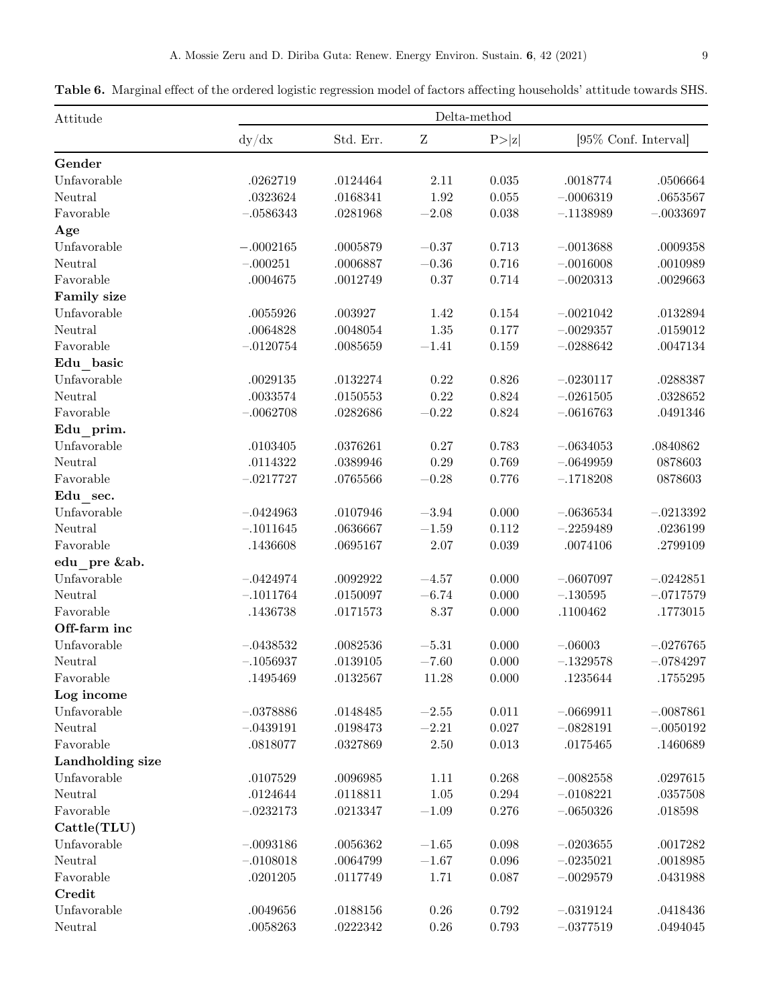<span id="page-8-0"></span>Table 6. Marginal effect of the ordered logistic regression model of factors affecting households' attitude towards SHS.

| Attitude           | Delta-method |           |           |             |             |                       |  |
|--------------------|--------------|-----------|-----------|-------------|-------------|-----------------------|--|
|                    | dy/dx        | Std. Err. | $\rm{Z}$  | P> z        |             | [95\% Conf. Interval] |  |
| Gender             |              |           |           |             |             |                       |  |
| Unfavorable        | .0262719     | .0124464  | 2.11      | 0.035       | .0018774    | .0506664              |  |
| Neutral            | .0323624     | .0168341  | 1.92      | $0.055\,$   | $-.0006319$ | .0653567              |  |
| Favorable          | $-.0586343$  | .0281968  | $-2.08$   | 0.038       | $-.1138989$ | $-.0033697$           |  |
| Age                |              |           |           |             |             |                       |  |
| Unfavorable        | $-.0002165$  | .0005879  | $-0.37$   | 0.713       | $-.0013688$ | .0009358              |  |
| Neutral            | $-.000251$   | .0006887  | $-0.36\,$ | 0.716       | $-.0016008$ | .0010989              |  |
| Favorable          | .0004675     | .0012749  | 0.37      | 0.714       | $-.0020313$ | .0029663              |  |
| <b>Family size</b> |              |           |           |             |             |                       |  |
| Unfavorable        | .0055926     | .003927   | 1.42      | $0.154\,$   | $-.0021042$ | .0132894              |  |
| Neutral            | .0064828     | .0048054  | $1.35\,$  | 0.177       | $-.0029357$ | .0159012              |  |
| Favorable          | $-.0120754$  | .0085659  | $-1.41$   | $0.159\,$   | $-.0288642$ | .0047134              |  |
| Edu basic          |              |           |           |             |             |                       |  |
| Unfavorable        | .0029135     | .0132274  | $0.22\,$  | 0.826       | $-.0230117$ | .0288387              |  |
| Neutral            | .0033574     | .0150553  | $0.22\,$  | $0.824\,$   | $-.0261505$ | .0328652              |  |
| Favorable          | $-.0062708$  | .0282686  | $-0.22\,$ | 0.824       | $-.0616763$ | .0491346              |  |
| Edu_prim.          |              |           |           |             |             |                       |  |
| Unfavorable        | .0103405     | .0376261  | 0.27      | 0.783       | $-.0634053$ | .0840862              |  |
| Neutral            | .0114322     | .0389946  | 0.29      | 0.769       | $-.0649959$ | 0878603               |  |
| Favorable          | $-.0217727$  | .0765566  | $-0.28$   | 0.776       | $-.1718208$ | 0878603               |  |
| Edu sec.           |              |           |           |             |             |                       |  |
| Unfavorable        | $-.0424963$  | .0107946  | $-3.94\,$ | 0.000       | $-.0636534$ | $-.0213392$           |  |
| Neutral            | $-.1011645$  | .0636667  | $-1.59\,$ | $0.112\,$   | $-.2259489$ | .0236199              |  |
| Favorable          | .1436608     | .0695167  | $2.07\,$  | 0.039       | .0074106    | .2799109              |  |
| edu pre &ab.       |              |           |           |             |             |                       |  |
| Unfavorable        | $-.0424974$  | .0092922  | $-4.57$   | 0.000       | $-.0607097$ | $-.0242851$           |  |
| Neutral            | $-.1011764$  | .0150097  | $-6.74$   | 0.000       | $-.130595$  | $-.0717579$           |  |
| Favorable          | .1436738     | .0171573  | 8.37      | 0.000       | .1100462    | .1773015              |  |
| Off-farm inc       |              |           |           |             |             |                       |  |
| Unfavorable        | $-.0438532$  | .0082536  | $-5.31\,$ | 0.000       | $-.06003$   | $-.0276765$           |  |
| Neutral            | $-.1056937$  | .0139105  | $-7.60$   | 0.000       | $-.1329578$ | $-.0784297$           |  |
| Favorable          | .1495469     | .0132567  | 11.28     | 0.000       | .1235644    | .1755295              |  |
| Log income         |              |           |           |             |             |                       |  |
| Unfavorable        | $-.0378886$  | .0148485  | $-2.55\,$ | 0.011       | $-.0669911$ | $-.0087861$           |  |
| Neutral            | $-.0439191$  | .0198473  | $-2.21$   | $0.027\,$   | $-.0828191$ | $-.0050192$           |  |
| Favorable          | .0818077     | .0327869  | $2.50\,$  | $0.013\,$   | .0175465    | .1460689              |  |
| Landholding size   |              |           |           |             |             |                       |  |
| Unfavorable        | .0107529     | .0096985  | 1.11      | 0.268       | $-.0082558$ | .0297615              |  |
| Neutral            | .0124644     | .0118811  | $1.05\,$  | $0.294\,$   | $-.0108221$ | .0357508              |  |
| Favorable          | $-.0232173$  | .0213347  | $-1.09\,$ | 0.276       | $-.0650326$ | .018598               |  |
| Cattle(TLU)        |              |           |           |             |             |                       |  |
| Unfavorable        | $-.0093186$  | .0056362  | $-1.65$   | 0.098       | $-.0203655$ | .0017282              |  |
| Neutral            | $-.0108018$  | .0064799  | $-1.67\,$ | $\,0.096\,$ | $-.0235021$ | .0018985              |  |
| Favorable          | .0201205     | .0117749  | 1.71      | 0.087       | $-.0029579$ | .0431988              |  |
| Credit             |              |           |           |             |             |                       |  |
| Unfavorable        | .0049656     | .0188156  | $0.26\,$  | 0.792       | $-.0319124$ | .0418436              |  |
| Neutral            | .0058263     | .0222342  | 0.26      | 0.793       | $-.0377519$ | .0494045              |  |
|                    |              |           |           |             |             |                       |  |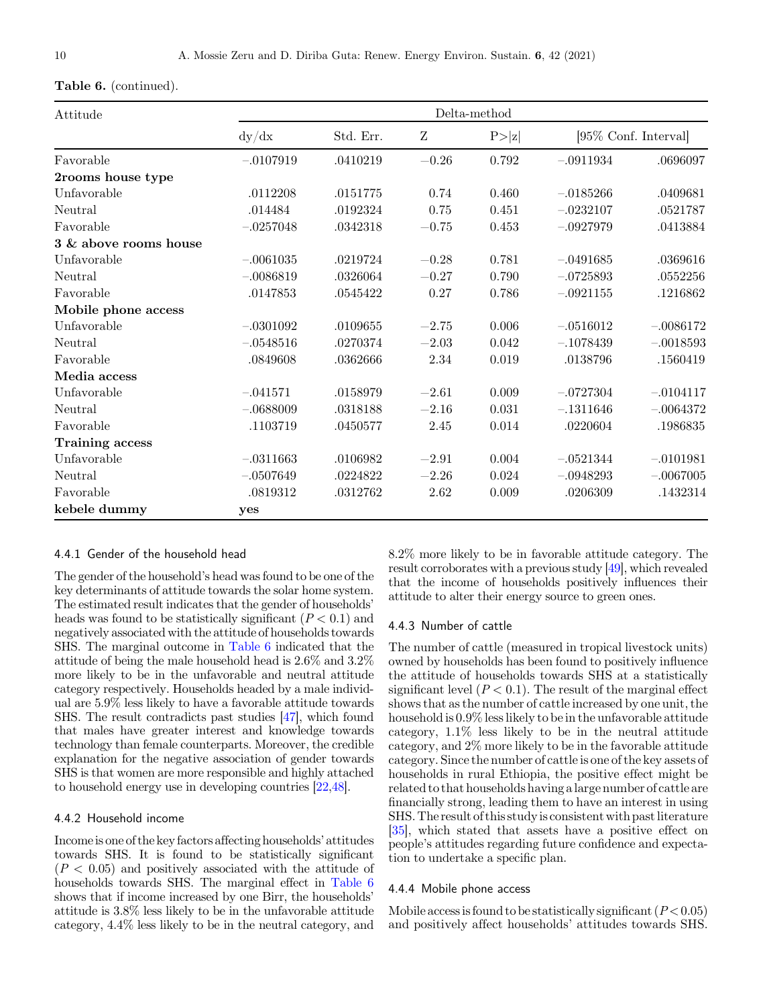| $\rm Attitude$         |             |           |           | Delta-method |             |                       |
|------------------------|-------------|-----------|-----------|--------------|-------------|-----------------------|
|                        | dy/dx       | Std. Err. | Ζ         | P> z         |             | [95\% Conf. Interval] |
| Favorable              | $-.0107919$ | .0410219  | $-0.26$   | 0.792        | $-.0911934$ | .0696097              |
| 2rooms house type      |             |           |           |              |             |                       |
| Unfavorable            | .0112208    | .0151775  | 0.74      | 0.460        | $-.0185266$ | .0409681              |
| Neutral                | .014484     | .0192324  | 0.75      | 0.451        | $-.0232107$ | .0521787              |
| Favorable              | $-.0257048$ | .0342318  | $-0.75$   | 0.453        | $-.0927979$ | .0413884              |
| 3 & above rooms house  |             |           |           |              |             |                       |
| Unfavorable            | $-.0061035$ | .0219724  | $-0.28$   | 0.781        | $-.0491685$ | .0369616              |
| Neutral                | $-.0086819$ | .0326064  | $-0.27$   | 0.790        | $-.0725893$ | .0552256              |
| Favorable              | .0147853    | .0545422  | 0.27      | 0.786        | $-.0921155$ | .1216862              |
| Mobile phone access    |             |           |           |              |             |                       |
| Unfavorable            | $-.0301092$ | .0109655  | $-2.75$   | 0.006        | $-.0516012$ | $-.0086172$           |
| Neutral                | $-.0548516$ | .0270374  | $-2.03$   | 0.042        | $-.1078439$ | $-.0018593$           |
| Favorable              | .0849608    | .0362666  | $2.34\,$  | $\,0.019\,$  | .0138796    | .1560419              |
| Media access           |             |           |           |              |             |                       |
| Unfavorable            | $-.041571$  | .0158979  | $-2.61$   | 0.009        | $-.0727304$ | $-.0104117$           |
| Neutral                | $-.0688009$ | .0318188  | $-2.16$   | 0.031        | $-.1311646$ | $-.0064372$           |
| Favorable              | .1103719    | .0450577  | 2.45      | 0.014        | .0220604    | .1986835              |
| <b>Training access</b> |             |           |           |              |             |                       |
| Unfavorable            | $-.0311663$ | .0106982  | $-2.91\,$ | 0.004        | $-.0521344$ | $-.0101981$           |
| Neutral                | $-.0507649$ | .0224822  | $-2.26$   | 0.024        | $-.0948293$ | $-.0067005$           |
| Favorable              | .0819312    | .0312762  | $2.62\,$  | 0.009        | .0206309    | .1432314              |
| kebele dummy           | yes         |           |           |              |             |                       |

# Table 6. (continued).

# 4.4.1 Gender of the household head

The gender of the household's head was found to be one of the key determinants of attitude towards the solar home system. The estimated result indicates that the gender of households' heads was found to be statistically significant  $(P < 0.1)$  and negatively associated with the attitude of households towards SHS. The marginal outcome in [Table 6](#page-8-0) indicated that the attitude of being the male household head is 2.6% and 3.2% more likely to be in the unfavorable and neutral attitude category respectively. Households headed by a male individual are 5.9% less likely to have a favorable attitude towards SHS. The result contradicts past studies [\[47\]](#page-12-0), which found that males have greater interest and knowledge towards technology than female counterparts. Moreover, the credible explanation for the negative association of gender towards SHS is that women are more responsible and highly attached to household energy use in developing countries [[22,48\]](#page-12-0).

#### 4.4.2 Household income

Incomeis one of the key factors affecting households' attitudes towards SHS. It is found to be statistically significant  $(P < 0.05)$  and positively associated with the attitude of households towards SHS. The marginal effect in [Table 6](#page-8-0) shows that if income increased by one Birr, the households' attitude is 3.8% less likely to be in the unfavorable attitude category, 4.4% less likely to be in the neutral category, and

8.2% more likely to be in favorable attitude category. The result corroborates with a previous study [[49](#page-12-0)], which revealed that the income of households positively influences their attitude to alter their energy source to green ones.

# 4.4.3 Number of cattle

The number of cattle (measured in tropical livestock units) owned by households has been found to positively influence the attitude of households towards SHS at a statistically significant level  $(P < 0.1)$ . The result of the marginal effect shows that as the number of cattle increased by one unit, the household is 0.9% less likely to be in the unfavorable attitude category, 1.1% less likely to be in the neutral attitude category, and 2% more likely to be in the favorable attitude category. Since the number of cattle is one of the key assets of households in rural Ethiopia, the positive effect might be related to that households having a large number of cattle are financially strong, leading them to have an interest in using SHS. The result of this studyis consistent with pastliterature [\[35\]](#page-12-0), which stated that assets have a positive effect on people's attitudes regarding future confidence and expectation to undertake a specific plan.

#### 4.4.4 Mobile phone access

Mobile access is found to be statistically significant  $(P<0.05)$ and positively affect households' attitudes towards SHS.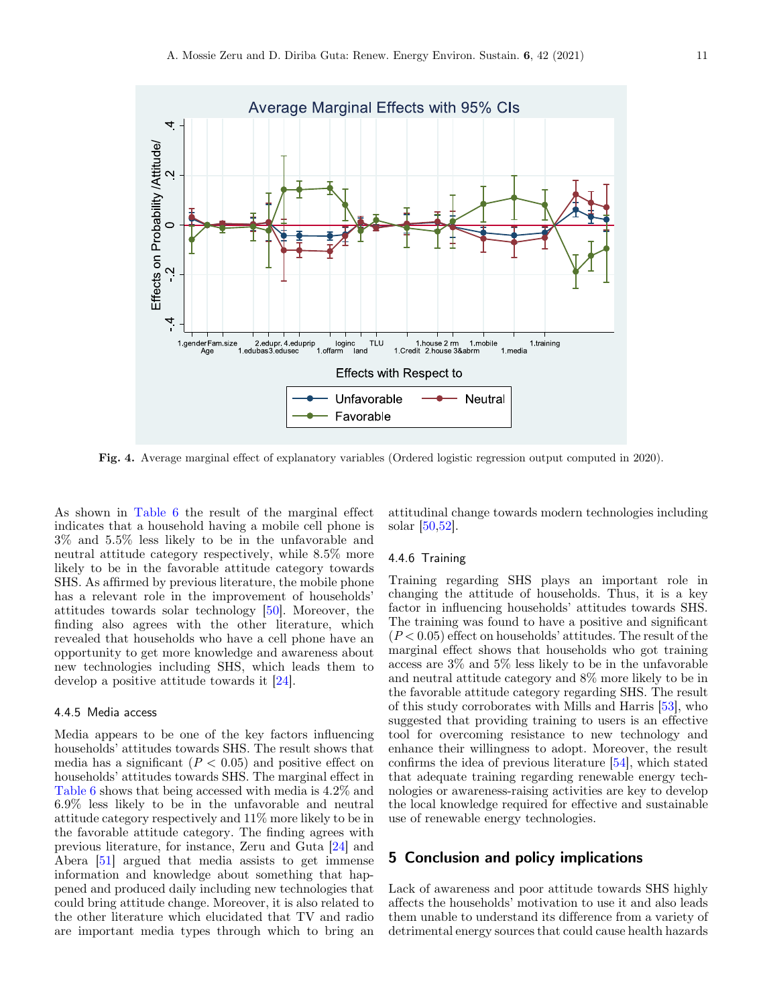

Fig. 4. Average marginal effect of explanatory variables (Ordered logistic regression output computed in 2020).

As shown in [Table 6](#page-8-0) the result of the marginal effect indicates that a household having a mobile cell phone is 3% and 5.5% less likely to be in the unfavorable and neutral attitude category respectively, while 8.5% more likely to be in the favorable attitude category towards SHS. As affirmed by previous literature, the mobile phone has a relevant role in the improvement of households' attitudes towards solar technology [[50\]](#page-12-0). Moreover, the finding also agrees with the other literature, which revealed that households who have a cell phone have an opportunity to get more knowledge and awareness about new technologies including SHS, which leads them to develop a positive attitude towards it [\[24\]](#page-12-0).

#### 4.4.5 Media access

Media appears to be one of the key factors influencing households' attitudes towards SHS. The result shows that media has a significant  $(P < 0.05)$  and positive effect on households' attitudes towards SHS. The marginal effect in [Table 6](#page-8-0) shows that being accessed with media is 4.2% and 6.9% less likely to be in the unfavorable and neutral attitude category respectively and 11% more likely to be in the favorable attitude category. The finding agrees with previous literature, for instance, Zeru and Guta [\[24](#page-12-0)] and Abera [\[51](#page-12-0)] argued that media assists to get immense information and knowledge about something that happened and produced daily including new technologies that could bring attitude change. Moreover, it is also related to the other literature which elucidated that TV and radio are important media types through which to bring an

attitudinal change towards modern technologies including solar [[50,52\]](#page-12-0).

#### 4.4.6 Training

Training regarding SHS plays an important role in changing the attitude of households. Thus, it is a key factor in influencing households' attitudes towards SHS. The training was found to have a positive and significant  $(P<0.05)$  effect on households' attitudes. The result of the marginal effect shows that households who got training access are 3% and 5% less likely to be in the unfavorable and neutral attitude category and 8% more likely to be in the favorable attitude category regarding SHS. The result of this study corroborates with Mills and Harris [\[53](#page-12-0)], who suggested that providing training to users is an effective tool for overcoming resistance to new technology and enhance their willingness to adopt. Moreover, the result confirms the idea of previous literature [[54\]](#page-12-0), which stated that adequate training regarding renewable energy technologies or awareness-raising activities are key to develop the local knowledge required for effective and sustainable use of renewable energy technologies.

# 5 Conclusion and policy implications

Lack of awareness and poor attitude towards SHS highly affects the households' motivation to use it and also leads them unable to understand its difference from a variety of detrimental energy sources that could cause health hazards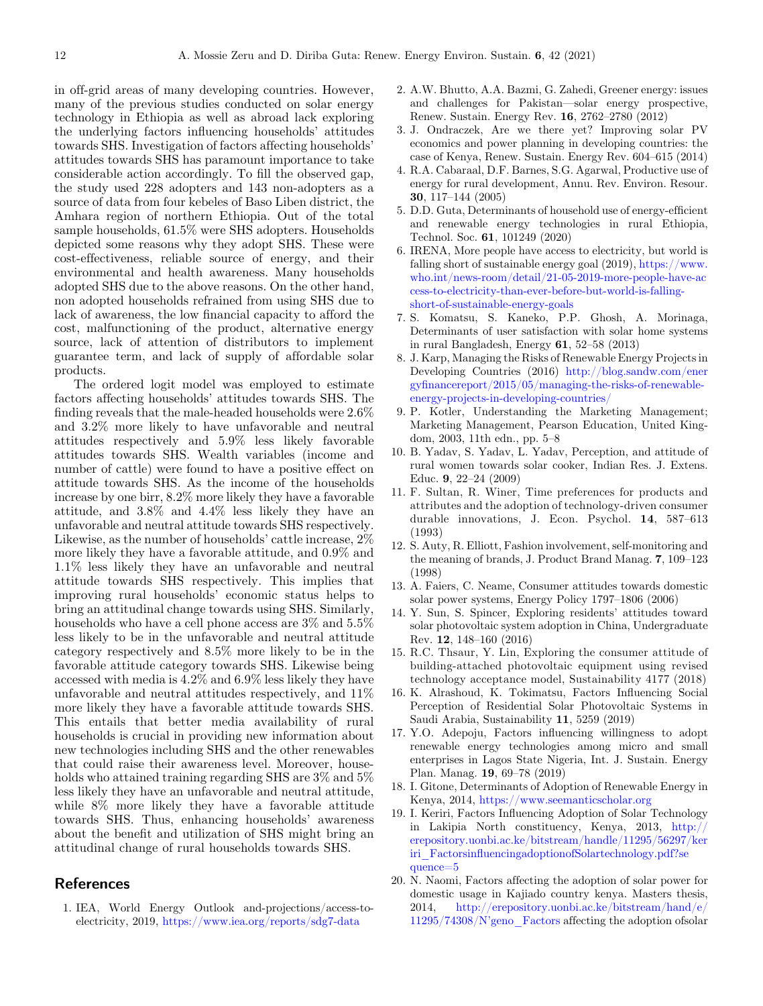<span id="page-11-0"></span>in off-grid areas of many developing countries. However, many of the previous studies conducted on solar energy technology in Ethiopia as well as abroad lack exploring the underlying factors influencing households' attitudes towards SHS. Investigation of factors affecting households' attitudes towards SHS has paramount importance to take considerable action accordingly. To fill the observed gap, the study used 228 adopters and 143 non-adopters as a source of data from four kebeles of Baso Liben district, the Amhara region of northern Ethiopia. Out of the total sample households, 61.5% were SHS adopters. Households depicted some reasons why they adopt SHS. These were cost-effectiveness, reliable source of energy, and their environmental and health awareness. Many households adopted SHS due to the above reasons. On the other hand, non adopted households refrained from using SHS due to lack of awareness, the low financial capacity to afford the cost, malfunctioning of the product, alternative energy source, lack of attention of distributors to implement guarantee term, and lack of supply of affordable solar products.

The ordered logit model was employed to estimate factors affecting households' attitudes towards SHS. The finding reveals that the male-headed households were 2.6% and 3.2% more likely to have unfavorable and neutral attitudes respectively and 5.9% less likely favorable attitudes towards SHS. Wealth variables (income and number of cattle) were found to have a positive effect on attitude towards SHS. As the income of the households increase by one birr, 8.2% more likely they have a favorable attitude, and 3.8% and 4.4% less likely they have an unfavorable and neutral attitude towards SHS respectively. Likewise, as the number of households' cattle increase, 2% more likely they have a favorable attitude, and 0.9% and 1.1% less likely they have an unfavorable and neutral attitude towards SHS respectively. This implies that improving rural households' economic status helps to bring an attitudinal change towards using SHS. Similarly, households who have a cell phone access are  $3\%$  and  $5.5\%$ less likely to be in the unfavorable and neutral attitude category respectively and 8.5% more likely to be in the favorable attitude category towards SHS. Likewise being accessed with media is 4.2% and 6.9% less likely they have unfavorable and neutral attitudes respectively, and 11% more likely they have a favorable attitude towards SHS. This entails that better media availability of rural households is crucial in providing new information about new technologies including SHS and the other renewables that could raise their awareness level. Moreover, households who attained training regarding SHS are 3% and 5% less likely they have an unfavorable and neutral attitude, while 8% more likely they have a favorable attitude towards SHS. Thus, enhancing households' awareness about the benefit and utilization of SHS might bring an attitudinal change of rural households towards SHS.

# References

1. IEA, World Energy Outlook and-projections/access-toelectricity, 2019, <https://www.iea.org/reports/sdg7-data>

- 2. A.W. Bhutto, A.A. Bazmi, G. Zahedi, Greener energy: issues and challenges for Pakistan—solar energy prospective, Renew. Sustain. Energy Rev. 16, 2762–2780 (2012)
- 3. J. Ondraczek, Are we there yet? Improving solar PV economics and power planning in developing countries: the case of Kenya, Renew. Sustain. Energy Rev. 604–615 (2014)
- 4. R.A. Cabaraal, D.F. Barnes, S.G. Agarwal, Productive use of energy for rural development, Annu. Rev. Environ. Resour. 30, 117–144 (2005)
- 5. D.D. Guta, Determinants of household use of energy-efficient and renewable energy technologies in rural Ethiopia, Technol. Soc. 61, 101249 (2020)
- 6. IRENA, More people have access to electricity, but world is falling short of sustainable energy goal  $(2019)$ , [https://www.](https://www.who.int/news-room/detail/21-05-2019-more-people-have-access-to-electricity-than-ever-before-but-world-is-falling-short-of-sustainable-energy-goals) [who.int/news-room/detail/21-05-2019-more-people-have-ac](https://www.who.int/news-room/detail/21-05-2019-more-people-have-access-to-electricity-than-ever-before-but-world-is-falling-short-of-sustainable-energy-goals) [cess-to-electricity-than-ever-before-but-world-is-falling](https://www.who.int/news-room/detail/21-05-2019-more-people-have-access-to-electricity-than-ever-before-but-world-is-falling-short-of-sustainable-energy-goals)[short-of-sustainable-energy-goals](https://www.who.int/news-room/detail/21-05-2019-more-people-have-access-to-electricity-than-ever-before-but-world-is-falling-short-of-sustainable-energy-goals)
- 7. S. Komatsu, S. Kaneko, P.P. Ghosh, A. Morinaga, Determinants of user satisfaction with solar home systems in rural Bangladesh, Energy 61, 52–58 (2013)
- 8. J. Karp, Managing the Risks of Renewable Energy Projects in Developing Countries (2016) [http://blog.sandw.com/ener](http://blog.sandw.com/energyfinancereport/2015/05/managing-the-risks-of-renewable-energy-projects-in-developing-countries/) gyfi[nancereport/2015/05/managing-the-risks-of-renewable](http://blog.sandw.com/energyfinancereport/2015/05/managing-the-risks-of-renewable-energy-projects-in-developing-countries/)[energy-projects-in-developing-countries/](http://blog.sandw.com/energyfinancereport/2015/05/managing-the-risks-of-renewable-energy-projects-in-developing-countries/)
- 9. P. Kotler, Understanding the Marketing Management; Marketing Management, Pearson Education, United Kingdom, 2003, 11th edn., pp. 5–8
- 10. B. Yadav, S. Yadav, L. Yadav, Perception, and attitude of rural women towards solar cooker, Indian Res. J. Extens. Educ. 9, 22–24 (2009)
- 11. F. Sultan, R. Winer, Time preferences for products and attributes and the adoption of technology-driven consumer durable innovations, J. Econ. Psychol. 14, 587–613 (1993)
- 12. S. Auty, R. Elliott, Fashion involvement, self-monitoring and the meaning of brands, J. Product Brand Manag. 7, 109–123 (1998)
- 13. A. Faiers, C. Neame, Consumer attitudes towards domestic solar power systems, Energy Policy 1797–1806 (2006)
- 14. Y. Sun, S. Spincer, Exploring residents' attitudes toward solar photovoltaic system adoption in China, Undergraduate Rev. 12, 148–160 (2016)
- 15. R.C. Thsaur, Y. Lin, Exploring the consumer attitude of building-attached photovoltaic equipment using revised technology acceptance model, Sustainability 4177 (2018)
- 16. K. Alrashoud, K. Tokimatsu, Factors Influencing Social Perception of Residential Solar Photovoltaic Systems in Saudi Arabia, Sustainability 11, 5259 (2019)
- 17. Y.O. Adepoju, Factors influencing willingness to adopt renewable energy technologies among micro and small enterprises in Lagos State Nigeria, Int. J. Sustain. Energy Plan. Manag. 19, 69–78 (2019)
- 18. I. Gitone, Determinants of Adoption of Renewable Energy in Kenya, 2014, <https://www.seemanticscholar.org>
- 19. I. Keriri, Factors Influencing Adoption of Solar Technology in Lakipia North constituency, Kenya, 2013, [http://](http://erepository.uonbi.ac.ke/bitstream/handle/11295/56297/keriri_FactorsinfluencingadoptionofSolartechnology.pdf?sequence=5) [erepository.uonbi.ac.ke/bitstream/handle/11295/56297/ker](http://erepository.uonbi.ac.ke/bitstream/handle/11295/56297/keriri_FactorsinfluencingadoptionofSolartechnology.pdf?sequence=5) iri\_Factorsinfl[uencingadoptionofSolartechnology.pdf?se](http://erepository.uonbi.ac.ke/bitstream/handle/11295/56297/keriri_FactorsinfluencingadoptionofSolartechnology.pdf?sequence=5) [quence=5](http://erepository.uonbi.ac.ke/bitstream/handle/11295/56297/keriri_FactorsinfluencingadoptionofSolartechnology.pdf?sequence=5)
- 20. N. Naomi, Factors affecting the adoption of solar power for domestic usage in Kajiado country kenya. Masters thesis, 2014, [http://erepository.uonbi.ac.ke/bitstream/hand/e/](http://erepository.uonbi.ac.ke/bitstream/hand/e/11295/74308/N'geno_Factors) [11295/74308/N](http://erepository.uonbi.ac.ke/bitstream/hand/e/11295/74308/N'geno_Factors)'geno\_Factors affecting the adoption ofsolar